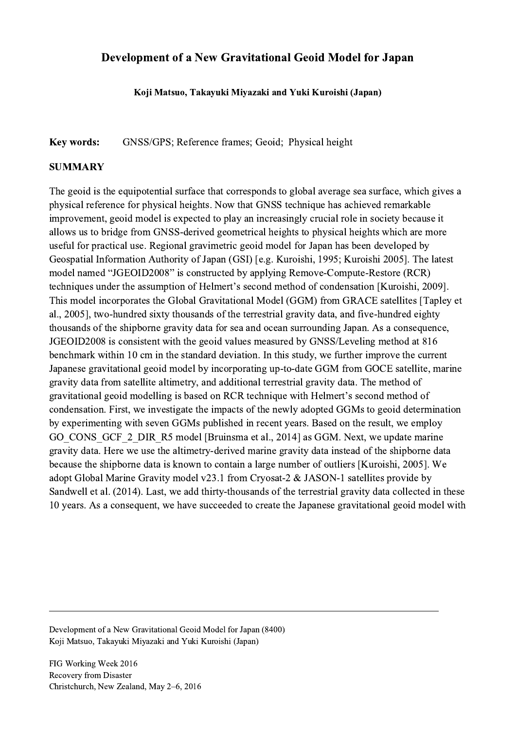## Development of a New Gravitational Geoid Model for Japan

Koji Matsuo, Takayuki Miyazaki and Yuki Kuroishi (Japan)

## Key words: GNSS/GPS; Reference frames; Geoid; Physical height

## **SUMMARY**

The geoid is the equipotential surface that corresponds to global average sea surface, which gives a physical reference for physical heights. Now that GNSS technique has achieved remarkable improvement, geoid model is expected to play an increasingly crucial role in society because it allows us to bridge from GNSS-derived geometrical heights to physical heights which are more useful for practical use. Regional gravimetric geoid model for Japan has been developed by Geospatial Information Authority of Japan (GSI) [e.g. Kuroishi, 1995; Kuroishi 2005]. The latest model named "JGEOID2008" is constructed by applying Remove-Compute-Restore (RCR) techniques under the assumption of Helmert's second method of condensation [Kuroishi, 2009]. This model incorporates the Global Gravitational Model (GGM) from GRACE satellites [Tapley et al., 2005], two-hundred sixty thousands of the terrestrial gravity data, and five-hundred eighty thousands of the shipborne gravity data for sea and ocean surrounding Japan. As a consequence, JGEOID2008 is consistent with the geoid values measured by GNSS/Leveling method at 816 benchmark within 10 cm in the standard deviation. In this study, we further improve the current Japanese gravitational geoid model by incorporating up-to-date GGM from GOCE satellite, marine gravity data from satellite altimetry, and additional terrestrial gravity data. The method of gravitational geoid modelling is based on RCR technique with Helmert's second method of condensation. First, we investigate the impacts of the newly adopted GGMs to geoid determination by experimenting with seven GGMs published in recent years. Based on the result, we employ GO\_CONS\_GCF\_2\_DIR\_R5 model [Bruinsma et al., 2014] as GGM. Next, we update marine gravity data. Here we use the altimetry-derived marine gravity data instead of the shipborne data because the shipborne data is known to contain a large number of outliers [Kuroishi, 2005]. We adopt Global Marine Gravity model v23.1 from Cryosat-2 & JASON-1 satellites provide by Sandwell et al. (2014). Last, we add thirty-thousands of the terrestrial gravity data collected in these 10 years. As a consequent, we have succeeded to create the Japanese gravitational geoid model with

 $\mathcal{L}_\mathcal{L} = \{ \mathcal{L}_\mathcal{L} = \{ \mathcal{L}_\mathcal{L} = \{ \mathcal{L}_\mathcal{L} = \{ \mathcal{L}_\mathcal{L} = \{ \mathcal{L}_\mathcal{L} = \{ \mathcal{L}_\mathcal{L} = \{ \mathcal{L}_\mathcal{L} = \{ \mathcal{L}_\mathcal{L} = \{ \mathcal{L}_\mathcal{L} = \{ \mathcal{L}_\mathcal{L} = \{ \mathcal{L}_\mathcal{L} = \{ \mathcal{L}_\mathcal{L} = \{ \mathcal{L}_\mathcal{L} = \{ \mathcal{L}_\mathcal{$ 

Development of a New Gravitational Geoid Model for Japan (8400) Koji Matsuo, Takayuki Miyazaki and Yuki Kuroishi (Japan)

FIG Working Week 2016 Recovery from Disaster Christchurch, New Zealand, May 2–6, 2016